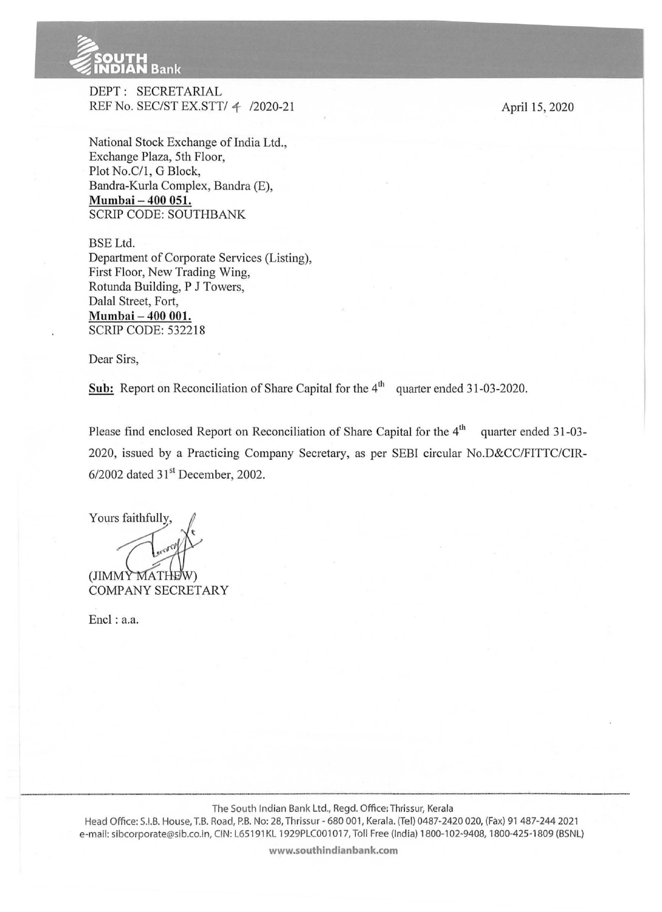

. --

DEPT: SECRETARJAL REF No. SEC/ST EX.STT/ *1-* /2020-21

National Stock Exchange of India Ltd., Exchange Plaza, 5th Floor, Plot No.C/1, G Block, Bandra-Kurla Complex, Bandra (E), **Mumbai- 400 051.**  SCRIP CODE: SOUTHBANK

BSE Ltd. Department of Corporate Services (Listing), First Floor, New Trading Wing, Rotunda Building, P J Towers, Dalal Street, Fort, **Mumbai- 400 001.**  SCRIP CODE: 532218

Dear Sirs,

**Sub:** Report on Reconciliation of Share Capital for the 4<sup>th</sup> quarter ended 31-03-2020.

Please find enclosed Report on Reconciliation of Share Capital for the  $4<sup>th</sup>$  quarter ended 31-03-2020, issued by a. Practicing Company Secretary, as per SEBI circular No.D&CC/FITTC/CIR- $6/2002$  dated  $31<sup>st</sup>$  December, 2002.

Yours faithfully, (JIMMY MATHE COMPANY SECRETARY

Encl: a.a.

**www.southindianbank.com** 

April 15, 2020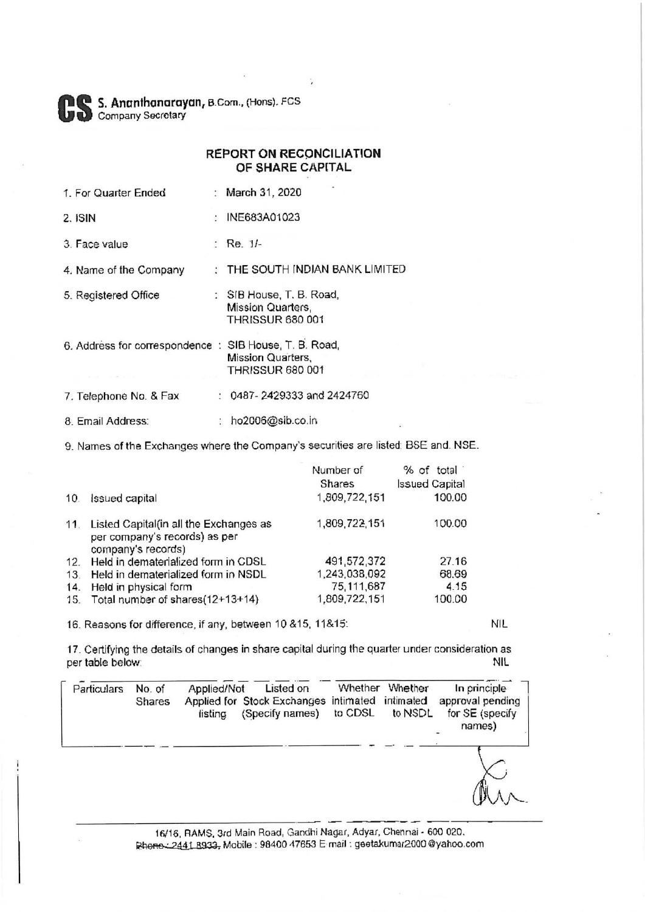S. Ananthanarayan, B.Com., (Hons). FCS Company Secretary

|                      | <b>REPORT ON RECONCILIATION</b><br>OF SHARE CAPITAL |  |  |  |
|----------------------|-----------------------------------------------------|--|--|--|
| 1. For Quarter Ended | : March 31, 2020                                    |  |  |  |
| 2. ISIN              | : INE683A01023                                      |  |  |  |

 $:$  Re.  $1/-$ 3. Face value

: THE SOUTH INDIAN BANK LIMITED 4. Name of the Company

- 5. Registered Office : SIB House, T. B. Road, Mission Quarters. **THRISSUR 680 001**
- 6. Address for correspondence : SIB House, T. B. Road, Mission Quarters, **THRISSUR 680 001**
- : 0487-2429333 and 2424760 7. Telephone No. & Fax
- 8. Email Address: : ho2006@sib.co.in

9. Names of the Exchanges where the Company's securities are listed: BSE and. NSE.

|                                                                                               | Number of                            | % of total            |
|-----------------------------------------------------------------------------------------------|--------------------------------------|-----------------------|
|                                                                                               | <b>Shares</b>                        | <b>Issued Capital</b> |
| <b>Issued capital</b>                                                                         | 1,809,722.151                        | 100.00                |
| Listed Capital(in all the Exchanges as<br>per company's records) as per<br>company's records) | 1,809,722,151                        | 100.00                |
| Held in dematerialized form in CDSL                                                           | 491,572,372                          | 27.16                 |
| Held in dematerialized form in NSDL                                                           | 1,243,038,092                        | 68.69                 |
| Held in physical form                                                                         | 75, 111, 687                         | 4.15                  |
|                                                                                               | 1,809,722,151                        | 100.00                |
| 12.                                                                                           | 15. Total number of shares(12+13+14) |                       |

16. Reasons for difference, if any, between 10 &15, 11&15.

17. Certifying the details of changes in share capital during the quarter under consideration as per table below: **NIL** 

| Particulars | No. of<br><b>Shares</b> | Applied/Not<br>listing | Listed on<br>Applied for Stock Exchanges<br>(Specify names) | Whether<br>intimated intimated<br>to CDSL | Whether<br>to NSDL | In principle<br>approval pending<br>for SE (specify<br>names) |
|-------------|-------------------------|------------------------|-------------------------------------------------------------|-------------------------------------------|--------------------|---------------------------------------------------------------|
|             |                         |                        |                                                             |                                           |                    |                                                               |

16/16, RAMS, 3rd Main Road, Gandhi Nagar, Adyar, Chennai - 600 020. Rhone: 2441 8933, Mobile : 98400 47653 E mail : geetakumar2000 @yahoo.com

**NIL**